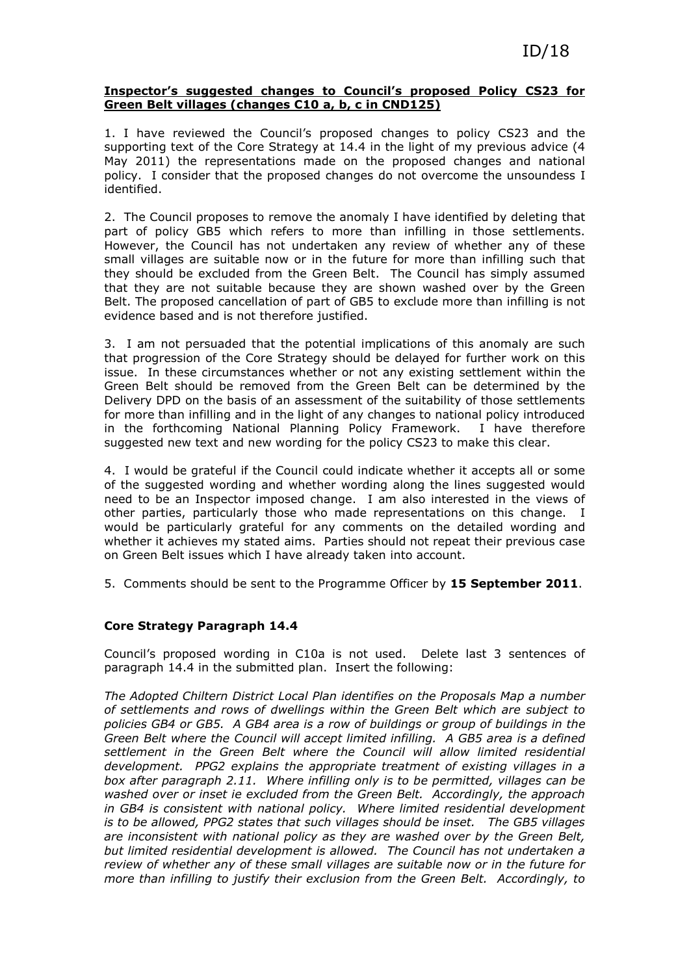## Inspector's suggested changes to Council's proposed Policy CS23 for Green Belt villages (changes C10 a, b, c in CND125)

1. I have reviewed the Council's proposed changes to policy CS23 and the supporting text of the Core Strategy at 14.4 in the light of my previous advice (4 May 2011) the representations made on the proposed changes and national policy. I consider that the proposed changes do not overcome the unsoundess I identified.

2. The Council proposes to remove the anomaly I have identified by deleting that part of policy GB5 which refers to more than infilling in those settlements. However, the Council has not undertaken any review of whether any of these small villages are suitable now or in the future for more than infilling such that they should be excluded from the Green Belt. The Council has simply assumed that they are not suitable because they are shown washed over by the Green Belt. The proposed cancellation of part of GB5 to exclude more than infilling is not evidence based and is not therefore justified.

3. I am not persuaded that the potential implications of this anomaly are such that progression of the Core Strategy should be delayed for further work on this issue. In these circumstances whether or not any existing settlement within the Green Belt should be removed from the Green Belt can be determined by the Delivery DPD on the basis of an assessment of the suitability of those settlements for more than infilling and in the light of any changes to national policy introduced in the forthcoming National Planning Policy Framework. I have therefore suggested new text and new wording for the policy CS23 to make this clear.

4. I would be grateful if the Council could indicate whether it accepts all or some of the suggested wording and whether wording along the lines suggested would need to be an Inspector imposed change. I am also interested in the views of other parties, particularly those who made representations on this change. I would be particularly grateful for any comments on the detailed wording and whether it achieves my stated aims. Parties should not repeat their previous case on Green Belt issues which I have already taken into account.

5. Comments should be sent to the Programme Officer by 15 September 2011.

## Core Strategy Paragraph 14.4

Council's proposed wording in C10a is not used. Delete last 3 sentences of paragraph 14.4 in the submitted plan. Insert the following:

The Adopted Chiltern District Local Plan identifies on the Proposals Map a number of settlements and rows of dwellings within the Green Belt which are subject to policies GB4 or GB5. A GB4 area is a row of buildings or group of buildings in the Green Belt where the Council will accept limited infilling. A GB5 area is a defined settlement in the Green Belt where the Council will allow limited residential development. PPG2 explains the appropriate treatment of existing villages in a box after paragraph 2.11. Where infilling only is to be permitted, villages can be washed over or inset ie excluded from the Green Belt. Accordingly, the approach in GB4 is consistent with national policy. Where limited residential development is to be allowed, PPG2 states that such villages should be inset. The GB5 villages are inconsistent with national policy as they are washed over by the Green Belt, but limited residential development is allowed. The Council has not undertaken a review of whether any of these small villages are suitable now or in the future for more than infilling to justify their exclusion from the Green Belt. Accordingly, to